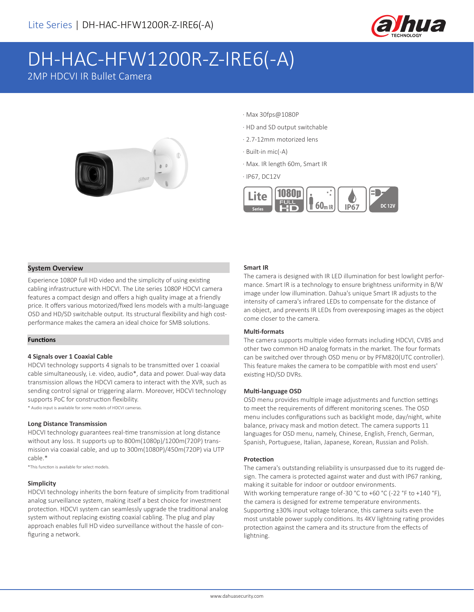

# DH-HAC-HFW1200R-Z-IRE6(-A)

### 2MP HDCVI IR Bullet Camera



- · Max 30fps@1080P
- · HD and SD output switchable
- · 2.7-12mm motorized lens
- · Built-in mic(-A)
- · Max. IR length 60m, Smart IR
- · IP67, DC12V



#### **System Overview**

Experience 1080P full HD video and the simplicity of using existing cabling infrastructure with HDCVI. The Lite series 1080P HDCVI camera features a compact design and offers a high quality image at a friendly price. It offers various motorized/fixed lens models with a multi-language OSD and HD/SD switchable output. Its structural flexibility and high costperformance makes the camera an ideal choice for SMB solutions.

#### **Functions**

#### **4 Signals over 1 Coaxial Cable**

HDCVI technology supports 4 signals to be transmitted over 1 coaxial cable simultaneously, i.e. video, audio\*, data and power. Dual-way data transmission allows the HDCVI camera to interact with the XVR, such as sending control signal or triggering alarm. Moreover, HDCVI technology supports PoC for construction flexibility.

\* Audio input is available for some models of HDCVI cameras.

#### **Long Distance Transmission**

HDCVI technology guarantees real-time transmission at long distance without any loss. It supports up to 800m(1080p)/1200m(720P) transmission via coaxial cable, and up to 300m(1080P)/450m(720P) via UTP cable.\*

\*This function is available for select models.

#### **Simplicity**

HDCVI technology inherits the born feature of simplicity from traditional analog surveillance system, making itself a best choice for investment protection. HDCVI system can seamlessly upgrade the traditional analog system without replacing existing coaxial cabling. The plug and play approach enables full HD video surveillance without the hassle of configuring a network.

#### **Smart IR**

The camera is designed with IR LED illumination for best lowlight performance. Smart IR is a technology to ensure brightness uniformity in B/W image under low illumination. Dahua's unique Smart IR adjusts to the intensity of camera's infrared LEDs to compensate for the distance of an object, and prevents IR LEDs from overexposing images as the object come closer to the camera.

#### **Multi-formats**

The camera supports multiple video formats including HDCVI, CVBS and other two common HD analog formats in the market. The four formats can be switched over through OSD menu or by PFM820(UTC controller). This feature makes the camera to be compatible with most end users' existing HD/SD DVRs.

#### **Multi-language OSD**

OSD menu provides multiple image adjustments and function settings to meet the requirements of different monitoring scenes. The OSD menu includes configurations such as backlight mode, day/night, white balance, privacy mask and motion detect. The camera supports 11 languages for OSD menu, namely, Chinese, English, French, German, Spanish, Portuguese, Italian, Japanese, Korean, Russian and Polish.

#### **Protection**

The camera's outstanding reliability is unsurpassed due to its rugged design. The camera is protected against water and dust with IP67 ranking, making it suitable for indoor or outdoor environments. With working temperature range of-30 °C to +60 °C (-22 °F to +140 °F), the camera is designed for extreme temperature environments. Supporting ±30% input voltage tolerance, this camera suits even the most unstable power supply conditions. Its 4KV lightning rating provides protection against the camera and its structure from the effects of lightning.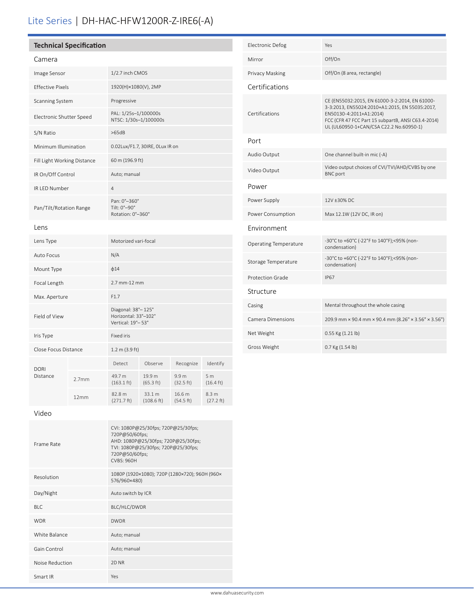# Lite Series | DH-HAC-HFW1200R-Z-IRE6(-A)

|  | <b>Technical Specification</b> |
|--|--------------------------------|
|--|--------------------------------|

#### Camera

| Camera                      |                   |                                                                 |                      |                     |                                       |
|-----------------------------|-------------------|-----------------------------------------------------------------|----------------------|---------------------|---------------------------------------|
| Image Sensor                |                   | 1/2.7 inch CMOS                                                 |                      |                     |                                       |
| <b>Effective Pixels</b>     |                   | 1920(H)×1080(V), 2MP                                            |                      |                     |                                       |
| Scanning System             |                   | Progressive                                                     |                      |                     |                                       |
| Electronic Shutter Speed    |                   | PAL: 1/25s-1/100000s<br>NTSC: 1/30s-1/100000s                   |                      |                     |                                       |
| S/N Ratio                   |                   | >65dB                                                           |                      |                     |                                       |
| Minimum Illumination        |                   | 0.02Lux/F1.7, 30IRE, 0Lux IR on                                 |                      |                     |                                       |
| Fill Light Working Distance |                   | 60 m (196.9 ft)                                                 |                      |                     |                                       |
| IR On/Off Control           |                   | Auto; manual                                                    |                      |                     |                                       |
| IR LED Number               |                   | 4                                                               |                      |                     |                                       |
| Pan/Tilt/Rotation Range     |                   | Pan: 0°-360°<br>Tilt: 0°-90°<br>Rotation: 0°-360°               |                      |                     |                                       |
| Lens                        |                   |                                                                 |                      |                     |                                       |
| Lens Type                   |                   | Motorized vari-focal                                            |                      |                     |                                       |
| Auto Focus                  |                   | N/A                                                             |                      |                     |                                       |
| Mount Type                  |                   | $\phi$ 14                                                       |                      |                     |                                       |
| Focal Length                |                   | 2.7 mm-12 mm                                                    |                      |                     |                                       |
| Max. Aperture               |                   | F1.7                                                            |                      |                     |                                       |
| Field of View               |                   | Diagonal: 38°-125°<br>Horizontal: 33°-102°<br>Vertical: 19°-53° |                      |                     |                                       |
| Iris Type                   |                   | <b>Fixed iris</b>                                               |                      |                     |                                       |
| Close Focus Distance        |                   | 1.2 m (3.9 ft)                                                  |                      |                     |                                       |
| <b>DORI</b><br>Distance     |                   | Detect                                                          | Observe              | Recognize           | Identify                              |
|                             | 2.7 <sub>mm</sub> | 49.7 m<br>$(163.1 \text{ ft})$                                  | 19.9 m<br>(65.3 ft)  | 9.9 m<br>(32.5 ft)  | 5 <sub>m</sub><br>$(16.4 \text{ ft})$ |
|                             | 12mm              | 82.8 m<br>$(271.7 \text{ ft})$                                  | 33.1 m<br>(108.6 ft) | 16.6 m<br>(54.5 ft) | 8.3 m<br>(27.2 ft)                    |
|                             |                   |                                                                 |                      |                     |                                       |

| Electronic Defog      | Yes                                                                                                                                                                                                                          |
|-----------------------|------------------------------------------------------------------------------------------------------------------------------------------------------------------------------------------------------------------------------|
| Mirror                | Off/On                                                                                                                                                                                                                       |
| Privacy Masking       | Off/On (8 area, rectangle)                                                                                                                                                                                                   |
| Certifications        |                                                                                                                                                                                                                              |
| Certifications        | CE (EN55032:2015, EN 61000-3-2:2014, EN 61000-<br>3-3:2013, EN55024:2010+A1:2015, EN 55035:2017,<br>EN50130-4:2011+A1:2014)<br>FCC (CFR 47 FCC Part 15 subpartB, ANSI C63.4-2014)<br>UL (UL60950-1+CAN/CSA C22.2 No.60950-1) |
| Port                  |                                                                                                                                                                                                                              |
| Audio Output          | One channel built-in mic (-A)                                                                                                                                                                                                |
| Video Output          | Video output choices of CVI/TVI/AHD/CVBS by one<br><b>BNC</b> port                                                                                                                                                           |
| Power                 |                                                                                                                                                                                                                              |
| Power Supply          | 12V ±30% DC                                                                                                                                                                                                                  |
| Power Consumption     | Max 12.1W (12V DC, IR on)                                                                                                                                                                                                    |
| Environment           |                                                                                                                                                                                                                              |
| Operating Temperature | -30°C to +60°C (-22°F to 140°F);<95% (non-<br>condensation)                                                                                                                                                                  |
| Storage Temperature   | -30°C to +60°C (-22°F to 140°F);<95% (non-<br>condensation)                                                                                                                                                                  |
| Protection Grade      | <b>IP67</b>                                                                                                                                                                                                                  |
| Structure             |                                                                                                                                                                                                                              |
| Casing                | Mental throughout the whole casing                                                                                                                                                                                           |
| Camera Dimensions     | 209.9 mm × 90.4 mm × 90.4 mm (8.26" × 3.56" × 3.56")                                                                                                                                                                         |
| Net Weight            | 0.55 Kg (1.21 lb)                                                                                                                                                                                                            |
| Gross Weight          | 0.7 Kg (1.54 lb)                                                                                                                                                                                                             |

#### Video

| Frame Rate      | CVI: 1080P@25/30fps; 720P@25/30fps;<br>720P@50/60fps;<br>AHD: 1080P@25/30fps; 720P@25/30fps;<br>TVI: 1080P@25/30fps; 720P@25/30fps;<br>720P@50/60fps;<br><b>CVBS: 960H</b> |
|-----------------|----------------------------------------------------------------------------------------------------------------------------------------------------------------------------|
| Resolution      | 1080P (1920×1080); 720P (1280×720); 960H (960×<br>576/960×480)                                                                                                             |
| Day/Night       | Auto switch by ICR                                                                                                                                                         |
| BIC             | BLC/HLC/DWDR                                                                                                                                                               |
| <b>WDR</b>      | <b>DWDR</b>                                                                                                                                                                |
| White Balance   | Auto; manual                                                                                                                                                               |
| Gain Control    | Auto; manual                                                                                                                                                               |
| Noise Reduction | 2D NR                                                                                                                                                                      |
| Smart IR        | Yes                                                                                                                                                                        |